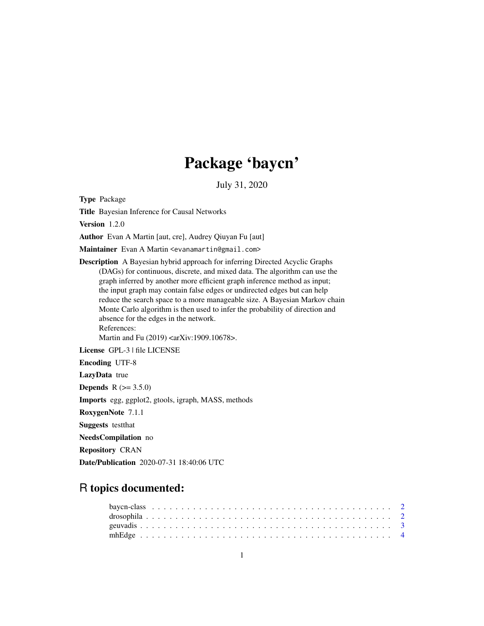## Package 'baycn'

July 31, 2020

<span id="page-0-0"></span>Type Package

Title Bayesian Inference for Causal Networks

Version 1.2.0

Author Evan A Martin [aut, cre], Audrey Qiuyan Fu [aut]

Maintainer Evan A Martin <evanamartin@gmail.com>

Description A Bayesian hybrid approach for inferring Directed Acyclic Graphs (DAGs) for continuous, discrete, and mixed data. The algorithm can use the graph inferred by another more efficient graph inference method as input; the input graph may contain false edges or undirected edges but can help reduce the search space to a more manageable size. A Bayesian Markov chain Monte Carlo algorithm is then used to infer the probability of direction and absence for the edges in the network. References:

Martin and Fu (2019) <arXiv:1909.10678>.

License GPL-3 | file LICENSE

Encoding UTF-8

LazyData true

**Depends** R  $(>= 3.5.0)$ 

Imports egg, ggplot2, gtools, igraph, MASS, methods

RoxygenNote 7.1.1

Suggests testthat

NeedsCompilation no

Repository CRAN

Date/Publication 2020-07-31 18:40:06 UTC

## R topics documented: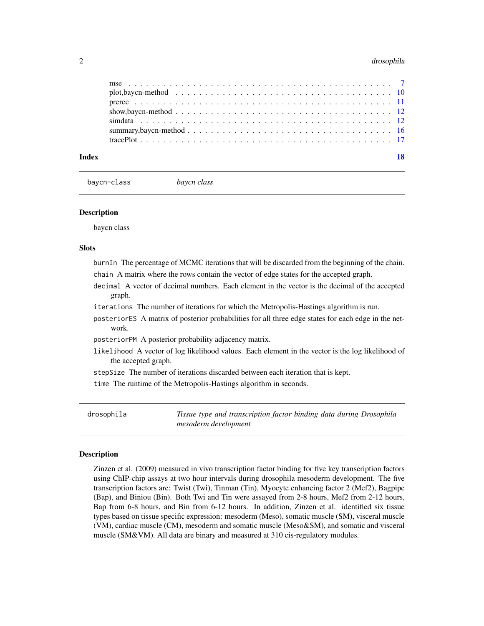### <span id="page-1-0"></span>2 drosophila

| Index |                                                                                                                                                          |  |  |  |  |  |  |  |  |  |  |  |  |  |  |  | 18 |
|-------|----------------------------------------------------------------------------------------------------------------------------------------------------------|--|--|--|--|--|--|--|--|--|--|--|--|--|--|--|----|
|       |                                                                                                                                                          |  |  |  |  |  |  |  |  |  |  |  |  |  |  |  |    |
|       | summary, bay cn-method $\ldots$ , $\ldots$ , $\ldots$ , $\ldots$ , $\ldots$ , $\ldots$ , $\ldots$ , $\ldots$ , $\ldots$ , $\ldots$ , $\ldots$ , $\ldots$ |  |  |  |  |  |  |  |  |  |  |  |  |  |  |  |    |
|       |                                                                                                                                                          |  |  |  |  |  |  |  |  |  |  |  |  |  |  |  |    |
|       |                                                                                                                                                          |  |  |  |  |  |  |  |  |  |  |  |  |  |  |  |    |
|       |                                                                                                                                                          |  |  |  |  |  |  |  |  |  |  |  |  |  |  |  |    |
|       |                                                                                                                                                          |  |  |  |  |  |  |  |  |  |  |  |  |  |  |  |    |
|       |                                                                                                                                                          |  |  |  |  |  |  |  |  |  |  |  |  |  |  |  |    |

baycn-class *baycn class*

### **Description**

baycn class

### Slots

burnIn The percentage of MCMC iterations that will be discarded from the beginning of the chain. chain A matrix where the rows contain the vector of edge states for the accepted graph.

- decimal A vector of decimal numbers. Each element in the vector is the decimal of the accepted graph.
- iterations The number of iterations for which the Metropolis-Hastings algorithm is run.
- posteriorES A matrix of posterior probabilities for all three edge states for each edge in the network.
- posteriorPM A posterior probability adjacency matrix.
- likelihood A vector of log likelihood values. Each element in the vector is the log likelihood of the accepted graph.
- stepSize The number of iterations discarded between each iteration that is kept.

time The runtime of the Metropolis-Hastings algorithm in seconds.

drosophila *Tissue type and transcription factor binding data during Drosophila mesoderm development*

### Description

Zinzen et al. (2009) measured in vivo transcription factor binding for five key transcription factors using ChIP-chip assays at two hour intervals during drosophila mesoderm development. The five transcription factors are: Twist (Twi), Tinman (Tin), Myocyte enhancing factor 2 (Mef2), Bagpipe (Bap), and Biniou (Bin). Both Twi and Tin were assayed from 2-8 hours, Mef2 from 2-12 hours, Bap from 6-8 hours, and Bin from 6-12 hours. In addition, Zinzen et al. identified six tissue types based on tissue specific expression: mesoderm (Meso), somatic muscle (SM), visceral muscle (VM), cardiac muscle (CM), mesoderm and somatic muscle (Meso&SM), and somatic and visceral muscle (SM&VM). All data are binary and measured at 310 cis-regulatory modules.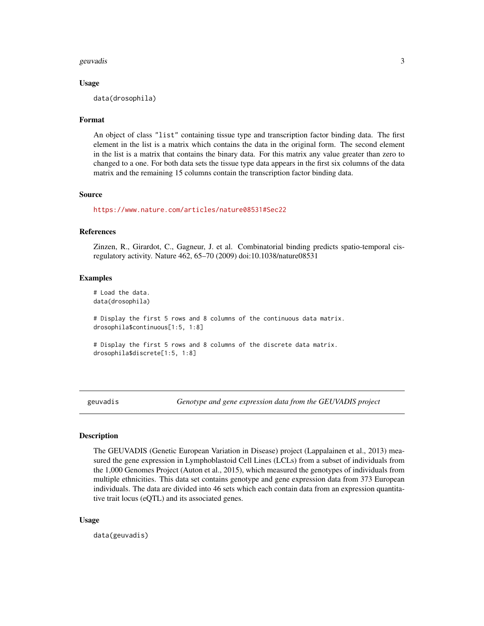### <span id="page-2-0"></span>geuvadis 3 and 3 and 3 and 3 and 3 and 3 and 3 and 3 and 3 and 3 and 3 and 3 and 3 and 3 and 3 and 3 and 3 and 3 and 3 and 3 and 3 and 3 and 3 and 3 and 3 and 3 and 3 and 3 and 3 and 3 and 3 and 3 and 3 and 3 and 3 and 3 a

### Usage

data(drosophila)

### Format

An object of class "list" containing tissue type and transcription factor binding data. The first element in the list is a matrix which contains the data in the original form. The second element in the list is a matrix that contains the binary data. For this matrix any value greater than zero to changed to a one. For both data sets the tissue type data appears in the first six columns of the data matrix and the remaining 15 columns contain the transcription factor binding data.

### Source

<https://www.nature.com/articles/nature08531#Sec22>

### References

Zinzen, R., Girardot, C., Gagneur, J. et al. Combinatorial binding predicts spatio-temporal cisregulatory activity. Nature 462, 65–70 (2009) doi:10.1038/nature08531

### Examples

# Load the data. data(drosophila) # Display the first 5 rows and 8 columns of the continuous data matrix. drosophila\$continuous[1:5, 1:8] # Display the first 5 rows and 8 columns of the discrete data matrix. drosophila\$discrete[1:5, 1:8]

geuvadis *Genotype and gene expression data from the GEUVADIS project*

### Description

The GEUVADIS (Genetic European Variation in Disease) project (Lappalainen et al., 2013) measured the gene expression in Lymphoblastoid Cell Lines (LCLs) from a subset of individuals from the 1,000 Genomes Project (Auton et al., 2015), which measured the genotypes of individuals from multiple ethnicities. This data set contains genotype and gene expression data from 373 European individuals. The data are divided into 46 sets which each contain data from an expression quantitative trait locus (eQTL) and its associated genes.

### Usage

data(geuvadis)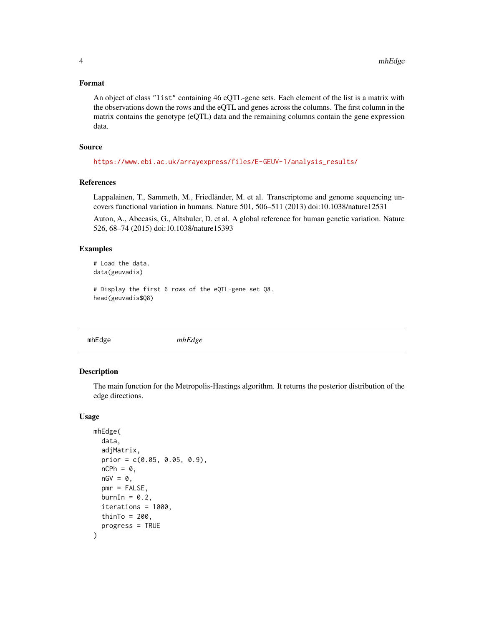### <span id="page-3-0"></span>Format

An object of class "list" containing 46 eQTL-gene sets. Each element of the list is a matrix with the observations down the rows and the eQTL and genes across the columns. The first column in the matrix contains the genotype (eQTL) data and the remaining columns contain the gene expression data.

### Source

[https://www.ebi.ac.uk/arrayexpress/files/E-GEUV-1/analysis\\_results/](https://www.ebi.ac.uk/arrayexpress/files/E-GEUV-1/analysis_results/)

### References

Lappalainen, T., Sammeth, M., Friedländer, M. et al. Transcriptome and genome sequencing uncovers functional variation in humans. Nature 501, 506–511 (2013) doi:10.1038/nature12531

Auton, A., Abecasis, G., Altshuler, D. et al. A global reference for human genetic variation. Nature 526, 68–74 (2015) doi:10.1038/nature15393

### Examples

```
# Load the data.
data(geuvadis)
```

```
# Display the first 6 rows of the eQTL-gene set Q8.
head(geuvadis$Q8)
```
mhEdge *mhEdge*

### Description

The main function for the Metropolis-Hastings algorithm. It returns the posterior distribution of the edge directions.

#### Usage

```
mhEdge(
  data,
  adjMatrix,
  prior = c(0.05, 0.05, 0.9),
  nCPh = 0,
  nGV = 0,pmr = FALSE,
  burnIn = 0.2,
  iterations = 1000,
  thinTo = 200,
  progress = TRUE
)
```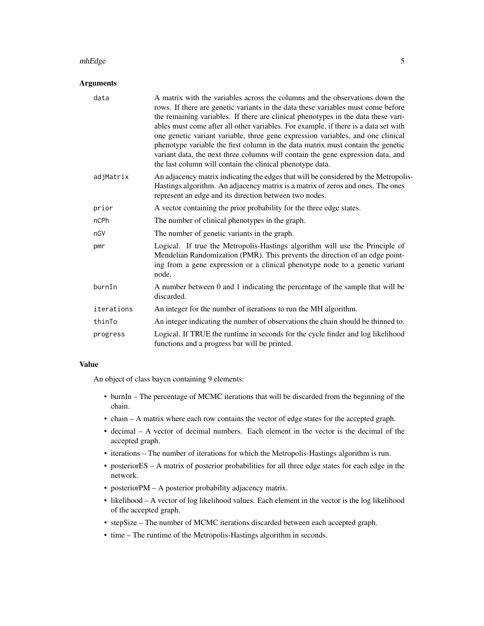### mhEdge 5

### Arguments

| data       | A matrix with the variables across the columns and the observations down the<br>rows. If there are genetic variants in the data these variables must come before<br>the remaining variables. If there are clinical phenotypes in the data these vari-<br>ables must come after all other variables. For example, if there is a data set with<br>one genetic variant variable, three gene expression variables, and one clinical<br>phenotype variable the first column in the data matrix must contain the genetic<br>variant data, the next three columns will contain the gene expression data, and<br>the last column will contain the clinical phenotype data. |
|------------|--------------------------------------------------------------------------------------------------------------------------------------------------------------------------------------------------------------------------------------------------------------------------------------------------------------------------------------------------------------------------------------------------------------------------------------------------------------------------------------------------------------------------------------------------------------------------------------------------------------------------------------------------------------------|
| adjMatrix  | An adjacency matrix indicating the edges that will be considered by the Metropolis-<br>Hastings algorithm. An adjacency matrix is a matrix of zeros and ones. The ones<br>represent an edge and its direction between two nodes.                                                                                                                                                                                                                                                                                                                                                                                                                                   |
| prior      | A vector containing the prior probability for the three edge states.                                                                                                                                                                                                                                                                                                                                                                                                                                                                                                                                                                                               |
| nCPh       | The number of clinical phenotypes in the graph.                                                                                                                                                                                                                                                                                                                                                                                                                                                                                                                                                                                                                    |
| nGV        | The number of genetic variants in the graph.                                                                                                                                                                                                                                                                                                                                                                                                                                                                                                                                                                                                                       |
| pmr        | Logical. If true the Metropolis-Hastings algorithm will use the Principle of<br>Mendelian Randomization (PMR). This prevents the direction of an edge point-<br>ing from a gene expression or a clinical phenotype node to a genetic variant<br>node.                                                                                                                                                                                                                                                                                                                                                                                                              |
| burnIn     | A number between 0 and 1 indicating the percentage of the sample that will be<br>discarded.                                                                                                                                                                                                                                                                                                                                                                                                                                                                                                                                                                        |
| iterations | An integer for the number of iterations to run the MH algorithm.                                                                                                                                                                                                                                                                                                                                                                                                                                                                                                                                                                                                   |
| thinTo     | An integer indicating the number of observations the chain should be thinned to.                                                                                                                                                                                                                                                                                                                                                                                                                                                                                                                                                                                   |
| progress   | Logical. If TRUE the runtime in seconds for the cycle finder and log likelihood<br>functions and a progress bar will be printed.                                                                                                                                                                                                                                                                                                                                                                                                                                                                                                                                   |

### Value

An object of class baycn containing 9 elements:

- burnIn The percentage of MCMC iterations that will be discarded from the beginning of the chain.
- chain A matrix where each row contains the vector of edge states for the accepted graph.
- decimal A vector of decimal numbers. Each element in the vector is the decimal of the accepted graph.
- iterations The number of iterations for which the Metropolis-Hastings algorithm is run.
- posteriorES A matrix of posterior probabilities for all three edge states for each edge in the network.
- posteriorPM A posterior probability adjacency matrix.
- likelihood A vector of log likelihood values. Each element in the vector is the log likelihood of the accepted graph.
- stepSize The number of MCMC iterations discarded between each accepted graph.
- time The runtime of the Metropolis-Hastings algorithm in seconds.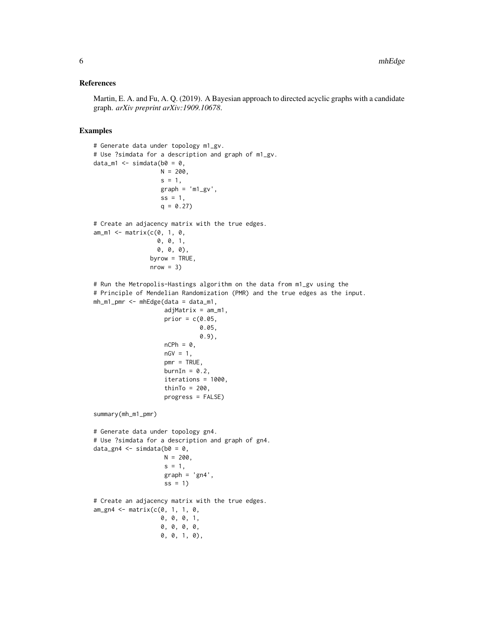### References

Martin, E. A. and Fu, A. Q. (2019). A Bayesian approach to directed acyclic graphs with a candidate graph. *arXiv preprint arXiv:1909.10678*.

### Examples

```
# Generate data under topology m1_gv.
# Use ?simdata for a description and graph of m1_gv.
data_m1 \leq simdata(b0 = 0,
                   N = 200.
                   s = 1,
                   graph = 'm1_gv',
                   ss = 1,q = 0.27# Create an adjacency matrix with the true edges.
am_m1 \leq maxrix(c(0, 1, 0,0, 0, 1,
                  0, 0, 0),
                byrow = TRUE,nrow = 3)# Run the Metropolis-Hastings algorithm on the data from m1_gv using the
# Principle of Mendelian Randomization (PMR) and the true edges as the input.
mh_m1_pmr <- mhEdge(data = data_m1,
                    adjMatrix = am_m1,
                    prior = c(0.05,0.05,
                              0.9),
                    nCPh = 0,
                    nGV = 1,
                    pmr = TRUE,burnIn = 0.2,
                    iterations = 1000,
                    thinTo = 200,
                    progress = FALSE)
summary(mh_m1_pmr)
# Generate data under topology gn4.
# Use ?simdata for a description and graph of gn4.
data_gn4 \leq simdata(b0 = 0,
                    N = 200,
                    s = 1,graph = 'gn4',ss = 1# Create an adjacency matrix with the true edges.
am_gn4 <- matrix(c(0, 1, 1, 0,
                   0, 0, 0, 1,
                   0, 0, 0, 0,
                   0, 0, 1, 0),
```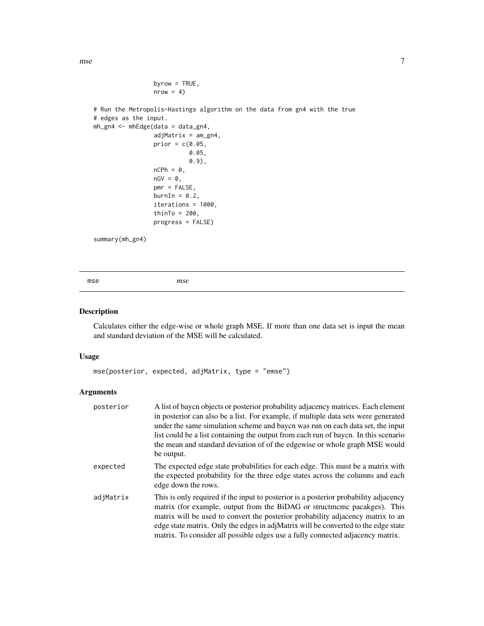<span id="page-6-0"></span>mse aangeste van die 19de eeu n.C. is die 19de eeu n.C. In die 19de eeu n.C. 2008 v.C. 2014 is die 19de eeu n.C. 2014 is die 19de eeu n.C. 2014 is die 19de eeu n.C. 2014 is die 19de eeu n.C. 2014 is die 19de eeu n.C. 2014

```
byrow = TRUE,
nrow = 4)
```

```
# Run the Metropolis-Hastings algorithm on the data from gn4 with the true
# edges as the input.
mh_gn4 <- mhEdge(data = data_gn4,
                 adjMatrix = am_gn4,
                 prior = c(0.05,0.05,
                           0.9),
                 nCPh = 0,
                 nGV = 0,pmr = FALSE,
                 burnIn = 0.2,
                 iterations = 1000,
                 thinTo = 200,
                 progress = FALSE)
summary(mh_gn4)
```
mse *mse*

### Description

Calculates either the edge-wise or whole graph MSE. If more than one data set is input the mean and standard deviation of the MSE will be calculated.

### Usage

```
mse(posterior, expected, adjMatrix, type = "emse")
```
### Arguments

| posterior | A list of bayen objects or posterior probability adjacency matrices. Each element<br>in posterior can also be a list. For example, if multiple data sets were generated<br>under the same simulation scheme and bayon was run on each data set, the input<br>list could be a list containing the output from each run of bayen. In this scenario<br>the mean and standard deviation of of the edgewise or whole graph MSE would<br>be output. |
|-----------|-----------------------------------------------------------------------------------------------------------------------------------------------------------------------------------------------------------------------------------------------------------------------------------------------------------------------------------------------------------------------------------------------------------------------------------------------|
| expected  | The expected edge state probabilities for each edge. This must be a matrix with<br>the expected probability for the three edge states across the columns and each<br>edge down the rows.                                                                                                                                                                                                                                                      |
| adjMatrix | This is only required if the input to posterior is a posterior probability adjacency<br>matrix (for example, output from the BiDAG or structmene pacakges). This<br>matrix will be used to convert the posterior probability adjacency matrix to an<br>edge state matrix. Only the edges in adjMatrix will be converted to the edge state<br>matrix. To consider all possible edges use a fully connected adjacency matrix.                   |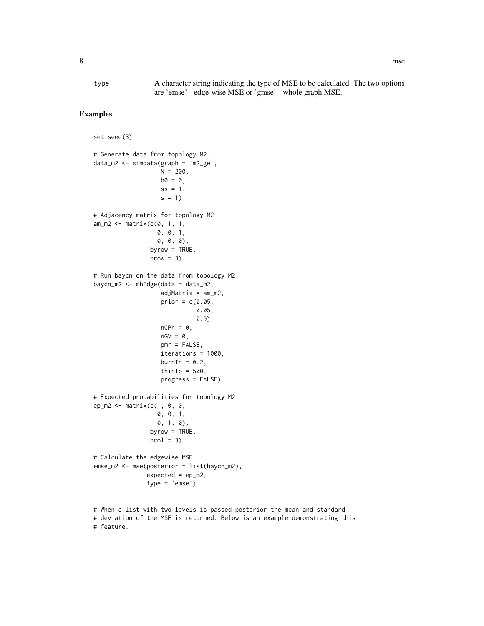type A character string indicating the type of MSE to be calculated. The two options are 'emse' - edge-wise MSE or 'gmse' - whole graph MSE.

### Examples

```
set.seed(3)
# Generate data from topology M2.
data_m2 <- simdata(graph = 'm2_ge',
                   N = 200.
                   b0 = 0,
                   ss = 1,
                   s = 1# Adjacency matrix for topology M2
am_m2 \leq max matrix(c(0, 1, 1, 1)0, 0, 1,
                  0, 0, 0),
                byrow = TRUE,nrow = 3)# Run baycn on the data from topology M2.
baycn_m2 < - mhebge(data = data_m2,adjMatrix = am_m2,
                   prior = c(0.05,0.05,
                              0.9),
                   nCPh = 0,
                   nGV = 0,
                   pmr = FALSE,
                   iterations = 1000,
                   burnIn = 0.2,
                   thinTo = 500,
                   progress = FALSE)
# Expected probabilities for topology M2.
ep_m2 \leq - matrix(c(1, 0, 0, 0)0, 0, 1,
                  0, 1, 0),
                byrow = TRUE,
                ncol = 3# Calculate the edgewise MSE.
emse_m2 <- mse(posterior = list(baycn_m2),
               expected = ep_m2,
               type = 'emse')
# When a list with two levels is passed posterior the mean and standard
```
<sup>#</sup> deviation of the MSE is returned. Below is an example demonstrating this # feature.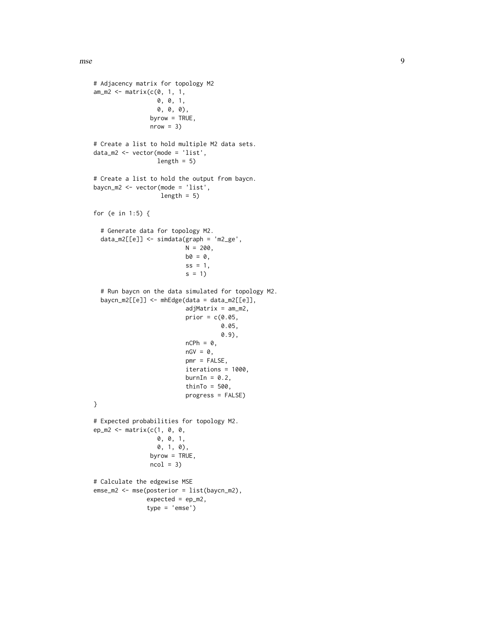```
# Adjacency matrix for topology M2
am_m2 \leq max matrix(c(0, 1, 1, 1)0, 0, 1,
                  0, 0, 0),
                byrow = TRUE,
                nrow = 3)# Create a list to hold multiple M2 data sets.
data_m2 <- vector(mode = 'list',
                  length = 5)
# Create a list to hold the output from baycn.
baycn_m2 <- vector(mode = 'list',
                   length = 5)
for (e in 1:5) {
  # Generate data for topology M2.
  data_m2[[e]] <- simdata(graph = 'm2_ge',
                          N = 200,
                          b0 = 0,
                          ss = 1,
                          s = 1# Run baycn on the data simulated for topology M2.
  baycn_m2[[e]] <- mhEdge(data = data_m2[[e]],
                          adjMatrix = am_m2,
                          prior = c(0.05,0.05,
                                     0.9),
                          nCPh = 0,
                          nGV = 0,pmr = FALSE,
                          iterations = 1000,
                          burnIn = 0.2,
                          thinTo = 500,
                          progress = FALSE)
}
# Expected probabilities for topology M2.
ep_m2 <- matrix(c(1, 0, 0,
                  0, 0, 1,
                  0, 1, 0),
                byrow = TRUE,
                ncol = 3# Calculate the edgewise MSE
emse_m2 <- mse(posterior = list(baycn_m2),
               expected = ep_m2,
               type = 'emse')
```
mse 1996 begin het die 19de eeu n.C. in die 19de eeu n.C. 19de eeu n.C. 19de eeu n.C. 19de eeu n.C. 19de eeu n.C. 19de eeu n.C. 19de eeu n.C. 19de eeu n.C. 19de eeu n.C. 19de eeu n.C. 19de eeu n.C. 19de eeu n.C. 19de eeu n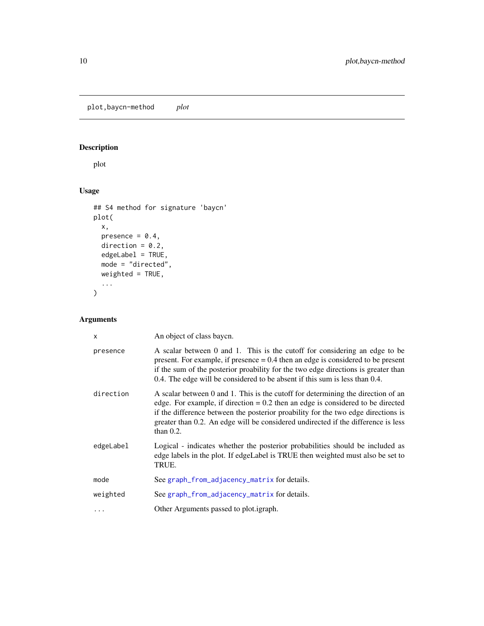### <span id="page-9-0"></span>Description

plot

### Usage

```
## S4 method for signature 'baycn'
plot(
  x,
  presence = 0.4,
  direction = 0.2,
  edgeLabel = TRUE,
  mode = "directed",
  weighted = TRUE,
  ...
)
```
### Arguments

| $\mathsf{x}$ | An object of class bayon.                                                                                                                                                                                                                                                                                                                                       |
|--------------|-----------------------------------------------------------------------------------------------------------------------------------------------------------------------------------------------------------------------------------------------------------------------------------------------------------------------------------------------------------------|
| presence     | A scalar between 0 and 1. This is the cutoff for considering an edge to be<br>present. For example, if presence $= 0.4$ then an edge is considered to be present<br>if the sum of the posterior proability for the two edge directions is greater than<br>0.4. The edge will be considered to be absent if this sum is less than 0.4.                           |
| direction    | A scalar between 0 and 1. This is the cutoff for determining the direction of an<br>edge. For example, if direction $= 0.2$ then an edge is considered to be directed<br>if the difference between the posterior proability for the two edge directions is<br>greater than 0.2. An edge will be considered undirected if the difference is less<br>than $0.2$ . |
| edgeLabel    | Logical - indicates whether the posterior probabilities should be included as<br>edge labels in the plot. If edge Label is TRUE then weighted must also be set to<br>TRUE.                                                                                                                                                                                      |
| mode         | See graph_from_adjacency_matrix for details.                                                                                                                                                                                                                                                                                                                    |
| weighted     | See graph_from_adjacency_matrix for details.                                                                                                                                                                                                                                                                                                                    |
|              | Other Arguments passed to plot. <i>igraph</i> .                                                                                                                                                                                                                                                                                                                 |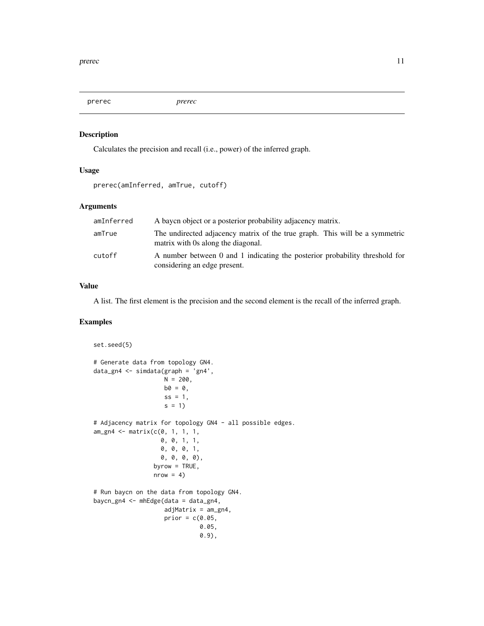<span id="page-10-0"></span>prerec *prerec*

### Description

Calculates the precision and recall (i.e., power) of the inferred graph.

### Usage

```
prerec(amInferred, amTrue, cutoff)
```
### Arguments

| amInferred | A bayen object or a posterior probability adjacency matrix.                                                       |
|------------|-------------------------------------------------------------------------------------------------------------------|
| amTrue     | The undirected adjacency matrix of the true graph. This will be a symmetric<br>matrix with 0s along the diagonal. |
| cutoff     | A number between 0 and 1 indicating the posterior probability threshold for<br>considering an edge present.       |

### Value

A list. The first element is the precision and the second element is the recall of the inferred graph.

### Examples

```
set.seed(5)
# Generate data from topology GN4.
data_gn4 <- simdata(graph = 'gn4',
                    N = 200,
                    b0 = 0,
                    ss = 1,
                    s = 1)# Adjacency matrix for topology GN4 - all possible edges.
am_gn4 <- matrix(c(0, 1, 1, 1,
                   0, 0, 1, 1,
                   0, 0, 0, 1,
                   0, 0, 0, 0),
                 byrow = TRUE,
                 nrow = 4)
# Run baycn on the data from topology GN4.
baycn_gn4 <- mhEdge(data = data_gn4,
                    adjMatrix = am\_gn4,
                    prior = c(0.05,0.05,
                              0.9),
```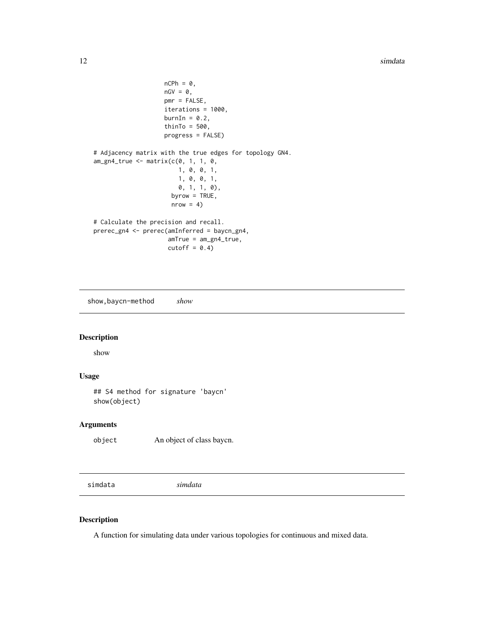```
nCPh = 0,
                    nGV = 0,pmr = FALSE,
                    iterations = 1000,
                    burnIn = 0.2,
                    thinTo = 500,
                    progress = FALSE)
# Adjacency matrix with the true edges for topology GN4.
am\_gn4\_true \leftarrow matrix(c(0, 1, 1, 0,1, 0, 0, 1,
                        1, 0, 0, 1,
                        0, 1, 1, 0),
                      byrow = TRUE,
                      nrow = 4)
# Calculate the precision and recall.
prerec_gn4 <- prerec(amInferred = baycn_gn4,
                     amTrue = am_gn4_true,
                     cutoff = 0.4)
```
show,baycn-method *show*

### Description

show

### Usage

## S4 method for signature 'baycn' show(object)

### Arguments

object An object of class baycn.

simdata *simdata*

### Description

A function for simulating data under various topologies for continuous and mixed data.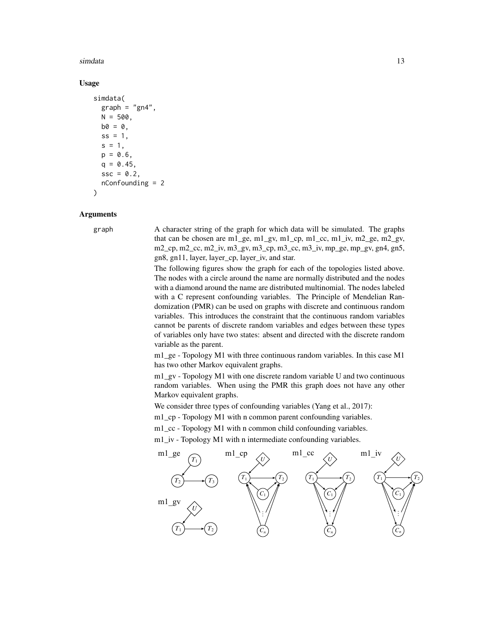### simdata and the state of the state of the state of the state of the state of the state of the state of the state of the state of the state of the state of the state of the state of the state of the state of the state of th

### Usage

```
simdata(
  graph = "gn4",N = 500,
 b0 = 0,
  ss = 1,
  s = 1,
  p = 0.6.
  q = 0.45,
  ssc = 0.2,nConfounding = 2
)
```
### Arguments

graph A character string of the graph for which data will be simulated. The graphs that can be chosen are m1\_ge, m1\_gv, m1\_cp, m1\_cc, m1\_iv, m2\_ge, m2\_gv, m2\_cp, m2\_cc, m2\_iv, m3\_gv, m3\_cp, m3\_cc, m3\_iv, mp\_ge, mp\_gv, gn4, gn5, gn8, gn11, layer, layer\_cp, layer\_iv, and star.

> The following figures show the graph for each of the topologies listed above. The nodes with a circle around the name are normally distributed and the nodes with a diamond around the name are distributed multinomial. The nodes labeled with a C represent confounding variables. The Principle of Mendelian Randomization (PMR) can be used on graphs with discrete and continuous random variables. This introduces the constraint that the continuous random variables cannot be parents of discrete random variables and edges between these types of variables only have two states: absent and directed with the discrete random variable as the parent.

> m1\_ge - Topology M1 with three continuous random variables. In this case M1 has two other Markov equivalent graphs.

> m1\_gv - Topology M1 with one discrete random variable U and two continuous random variables. When using the PMR this graph does not have any other Markov equivalent graphs.

*Ne* consider three types of confounding variables (Yang et al., 2017):

m1<sub>\_</sub>cp - Topology M1 with n common parent confounding variables.

m1\_cc - Topology M1 with n common child confounding variables.

m1\_iv - Topology M1 with n intermediate confounding variables.

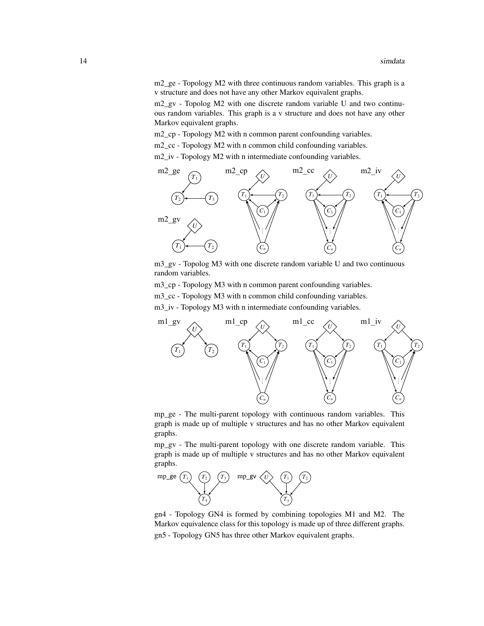m2\_ge - Topology M2 with three continuous random variables. This graph is a v structure and does not have any other Markov equivalent graphs.

*T*<sub>2</sub> *Topolog M2 with one discrete random variable U and two continu*ous random variables. This graph is a v structure and does not have any other Markov equivalent graphs.

m2\_cp - Topology M2 with n common parent confounding variables. ..

m2\_cc - Topology M2 with n common child confounding variables.

m2\_iv - Topology M2 with n intermediate confounding variables.



m3\_gv - Topolog M3 with one discrete random variable U and two continuous m<sub>2</sub><sup>*u*</sup> reporces</sup><br>random variables.

m3\_cp - Topology M3 with n common parent confounding variables.

 $\mu$ m3\_cc - Topology M3 with n common child confounding variables. *U*



 $\overline{a}$ *U*<sub>
<sup>*U*</sup></sub> graph is made up of multiple v structures and has no other Markov equivalent mp\_ge - The multi-parent topology with continuous random variables. This graphs.

3 mp\_gv - The multi-parent topology with one discrete random variable. This . . graph is made up of multiple v structures and has no other Markov equivalent graphs.



*U* France *T*<sub>1</sub> **T**<sub>2</sub> *T*<sub>2</sub> *T*<sub>2</sub> *T*<sub>2</sub> *T*<sub>2</sub> *T*<sub>2</sub> *T*<sub>2</sub> *T*<sub>2</sub> *T*<sub>2</sub> *T*<sub>2</sub> *T*<sub>2</sub> *T*<sub>2</sub> *T*<sub>2</sub> *T*<sub>2</sub> *T*<sub>2</sub> *T*<sub>2</sub> *T*<sub>2</sub> *T*<sub>2</sub> *T*<sub>2</sub> *T*<sub>2</sub> *T*<sub>2</sub> *T*<sub>2</sub> *T*<sub>2</sub> *T*<sub>2</sub> *T*<sub>2</sub> *T*<sub>2</sub> *T*<sub>2</sub> *T*<sub>2</sub> *T*<sub>2</sub> *T*<sub>2</sub> 4 gn4 - Topology GN4 is formed by combining topologies M1 and M2. The Markov equivalence class for this topology is made up of three different graphs.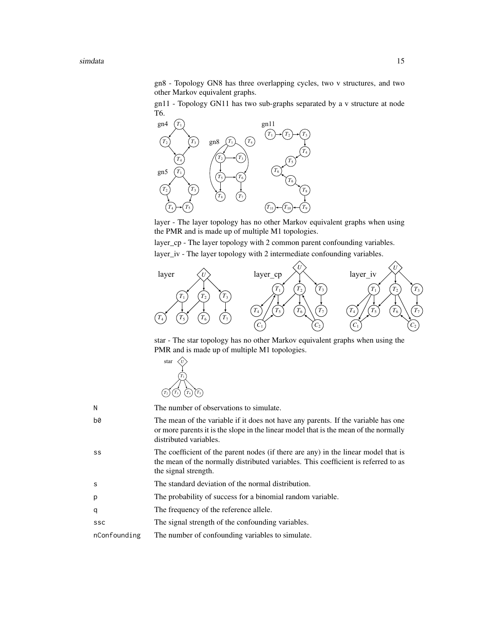simdata and the state of the state of the state of the state of the state of the state of the state of the state of the state of the state of the state of the state of the state of the state of the state of the state of th

gn8 - Topology GN8 has three overlapping cycles, two v structures, and two other Markov equivalent graphs.

gn11 - Topology GN11 has two sub-graphs separated by a v structure at node T6.



layer - The layer topology has no other Markov equivalent graphs when using the PMR and is made up of multiple M1 topologies.

layer\_cp - The layer topology with 2 common parent confounding variables. *T*<sub>2</sub> *T*<sub>2</sub> *T*<sub>1</sub> *T*<sup>1</sup> *T*<sup>1</sup> *T*<sub>1</sub> *T*<sub>1</sub> *T*<sub>1</sub> *T*<sub>1</sub> *T*<sub>1</sub> *T*<sub>1</sub> *T*<sub>1</sub> *T*<sub>1</sub> *T*<sub>1</sub> *T*<sub>1</sub> *T*<sub>1</sub> *T*<sub>1</sub> *T*<sub>1</sub> *T*<sub>1</sub> *T*<sub>1</sub> *T*<sub>1</sub> *T*<sub>1</sub> *T*<sub>1</sub> *T*<sub>1</sub> *T*<sub>1</sub> *T*<sub>1</sub> *T*<sub>1</sub> *T*<sub>1</sub> *T*<sub>1</sub> *T*<sub>1</sub> *T*<sub>1</sub> *T*<sub>1</sub>



star - The star topology has no other Markov equivalent graphs when using the PMR and is made up of multiple M1 topologies.



the mean of the normally distributed variables. This coefficient is referred to as 5 ss The coefficient of the parent nodes (if there are any) in the linear model that is N The number of observations to simulate. b0 The mean of the variable if it does not have any parents. If the variable has one or more parents it is the slope in the linear model that is the mean of the normally distributed variables. the signal strength. s The standard deviation of the normal distribution. p The probability of success for a binomial random variable. q The frequency of the reference allele. ssc The signal strength of the confounding variables. nConfounding The number of confounding variables to simulate.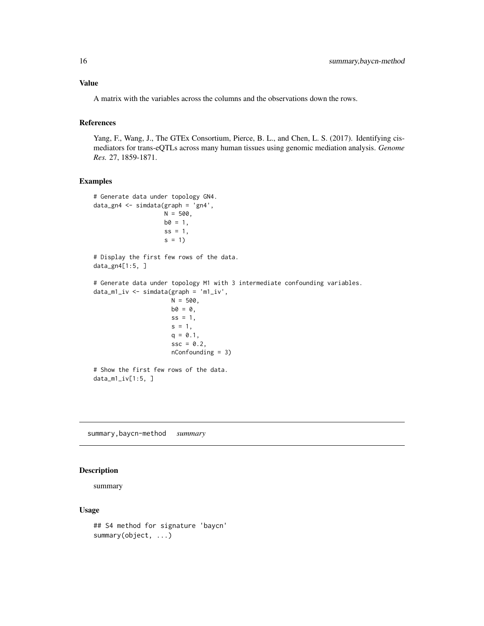<span id="page-15-0"></span>A matrix with the variables across the columns and the observations down the rows.

### References

Yang, F., Wang, J., The GTEx Consortium, Pierce, B. L., and Chen, L. S. (2017). Identifying cismediators for trans-eQTLs across many human tissues using genomic mediation analysis. *Genome Res.* 27, 1859-1871.

### Examples

```
# Generate data under topology GN4.
data_gn4 <- simdata(graph = 'gn4',
                   N = 500,
                   b0 = 1,
                    ss = 1,s = 1)# Display the first few rows of the data.
data_gn4[1:5, ]
# Generate data under topology M1 with 3 intermediate confounding variables.
data_m1_iv <- simdata(graph = 'm1_iv',
                      N = 500,
                      b0 = 0,
                      ss = 1,s = 1,q = 0.1,
                      ssc = 0.2,nConfounding = 3)
# Show the first few rows of the data.
data_m1_iv[1:5, ]
```
summary,baycn-method *summary*

### Description

summary

### Usage

```
## S4 method for signature 'baycn'
summary(object, ...)
```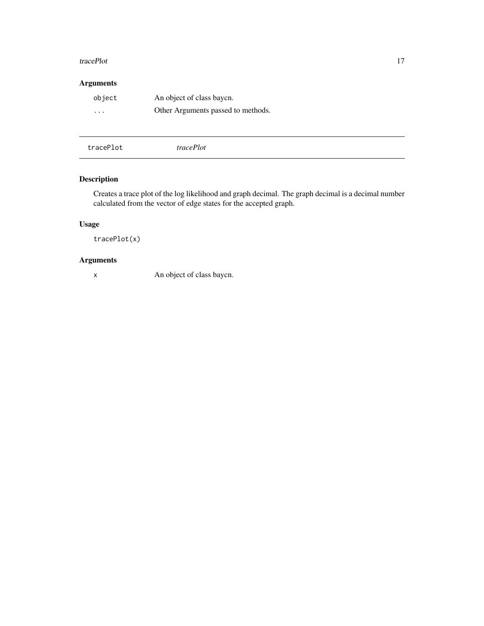### <span id="page-16-0"></span>tracePlot 17

### Arguments

| object   | An object of class bayon.          |
|----------|------------------------------------|
| $\cdots$ | Other Arguments passed to methods. |

tracePlot *tracePlot*

### Description

Creates a trace plot of the log likelihood and graph decimal. The graph decimal is a decimal number calculated from the vector of edge states for the accepted graph.

### Usage

tracePlot(x)

### Arguments

x An object of class baycn.